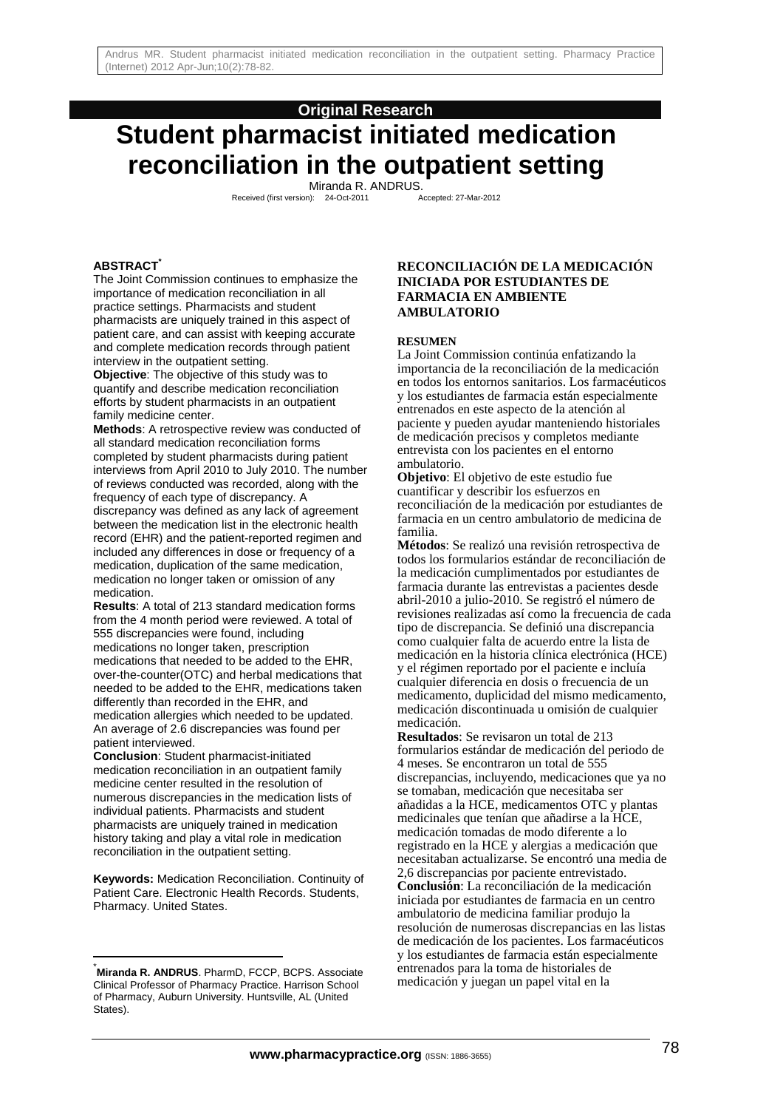# **Original Research**

# **Student pharmacist initiated medication reconciliation in the outpatient setting**

Miranda R. ANDRUS. Received (first version): 24-Oct-2011 Accepted: 27-Mar-2012

## **ABSTRACT\***

The Joint Commission continues to emphasize the importance of medication reconciliation in all practice settings. Pharmacists and student pharmacists are uniquely trained in this aspect of patient care, and can assist with keeping accurate and complete medication records through patient interview in the outpatient setting.

**Objective**: The objective of this study was to quantify and describe medication reconciliation efforts by student pharmacists in an outpatient family medicine center.

**Methods**: A retrospective review was conducted of all standard medication reconciliation forms completed by student pharmacists during patient interviews from April 2010 to July 2010. The number of reviews conducted was recorded, along with the frequency of each type of discrepancy. A discrepancy was defined as any lack of agreement between the medication list in the electronic health record (EHR) and the patient-reported regimen and included any differences in dose or frequency of a medication, duplication of the same medication, medication no longer taken or omission of any medication.

**Results**: A total of 213 standard medication forms from the 4 month period were reviewed. A total of 555 discrepancies were found, including medications no longer taken, prescription medications that needed to be added to the EHR, over-the-counter(OTC) and herbal medications that needed to be added to the EHR, medications taken differently than recorded in the EHR, and medication allergies which needed to be updated. An average of 2.6 discrepancies was found per patient interviewed.

**Conclusion**: Student pharmacist-initiated medication reconciliation in an outpatient family medicine center resulted in the resolution of numerous discrepancies in the medication lists of individual patients. Pharmacists and student pharmacists are uniquely trained in medication history taking and play a vital role in medication reconciliation in the outpatient setting.

**Keywords:** Medication Reconciliation. Continuity of Patient Care. Electronic Health Records. Students, Pharmacy. United States.

l

#### **RECONCILIACIÓN DE LA MEDICACIÓN INICIADA POR ESTUDIANTES DE FARMACIA EN AMBIENTE AMBULATORIO**

#### **RESUMEN**

La Joint Commission continúa enfatizando la importancia de la reconciliación de la medicación en todos los entornos sanitarios. Los farmacéuticos y los estudiantes de farmacia están especialmente entrenados en este aspecto de la atención al paciente y pueden ayudar manteniendo historiales de medicación precisos y completos mediante entrevista con los pacientes en el entorno ambulatorio.

**Objetivo**: El objetivo de este estudio fue cuantificar y describir los esfuerzos en reconciliación de la medicación por estudiantes de farmacia en un centro ambulatorio de medicina de familia.

**Métodos**: Se realizó una revisión retrospectiva de todos los formularios estándar de reconciliación de la medicación cumplimentados por estudiantes de farmacia durante las entrevistas a pacientes desde abril-2010 a julio-2010. Se registró el número de revisiones realizadas así como la frecuencia de cada tipo de discrepancia. Se definió una discrepancia como cualquier falta de acuerdo entre la lista de medicación en la historia clínica electrónica (HCE) y el régimen reportado por el paciente e incluía cualquier diferencia en dosis o frecuencia de un medicamento, duplicidad del mismo medicamento, medicación discontinuada u omisión de cualquier medicación.

**Resultados**: Se revisaron un total de 213 formularios estándar de medicación del periodo de 4 meses. Se encontraron un total de 555 discrepancias, incluyendo, medicaciones que ya no se tomaban, medicación que necesitaba ser añadidas a la HCE, medicamentos OTC y plantas medicinales que tenían que añadirse a la HCE, medicación tomadas de modo diferente a lo registrado en la HCE y alergias a medicación que necesitaban actualizarse. Se encontró una media de 2,6 discrepancias por paciente entrevistado. **Conclusión**: La reconciliación de la medicación iniciada por estudiantes de farmacia en un centro ambulatorio de medicina familiar produjo la resolución de numerosas discrepancias en las listas de medicación de los pacientes. Los farmacéuticos y los estudiantes de farmacia están especialmente entrenados para la toma de historiales de medicación y juegan un papel vital en la

<sup>\*</sup> **Miranda R. ANDRUS**. PharmD, FCCP, BCPS. Associate Clinical Professor of Pharmacy Practice. Harrison School of Pharmacy, Auburn University. Huntsville, AL (United States).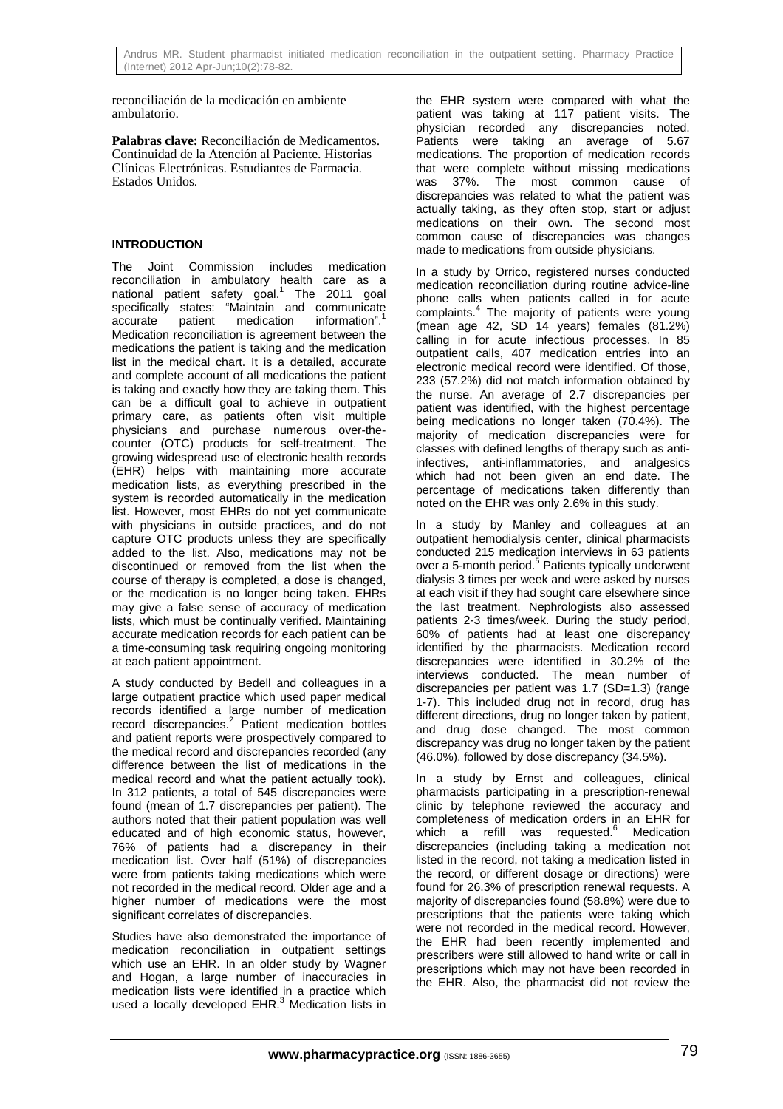reconciliación de la medicación en ambiente ambulatorio.

**Palabras clave:** Reconciliación de Medicamentos. Continuidad de la Atención al Paciente. Historias Clínicas Electrónicas. Estudiantes de Farmacia. Estados Unidos.

## **INTRODUCTION**

The Joint Commission includes medication reconciliation in ambulatory health care as a national patient safety goal.<sup>1</sup> The 2011 goal specifically states: "Maintain and communicate accurate patient medication information". Medication reconciliation is agreement between the medications the patient is taking and the medication list in the medical chart. It is a detailed, accurate and complete account of all medications the patient is taking and exactly how they are taking them. This can be a difficult goal to achieve in outpatient primary care, as patients often visit multiple physicians and purchase numerous over-thecounter (OTC) products for self-treatment. The growing widespread use of electronic health records  $(EHR)$  helps with maintaining more accurate medication lists, as everything prescribed in the system is recorded automatically in the medication list. However, most EHRs do not yet communicate with physicians in outside practices, and do not capture OTC products unless they are specifically added to the list. Also, medications may not be discontinued or removed from the list when the course of therapy is completed, a dose is changed, or the medication is no longer being taken. EHRs may give a false sense of accuracy of medication lists, which must be continually verified. Maintaining accurate medication records for each patient can be a time-consuming task requiring ongoing monitoring at each patient appointment.

A study conducted by Bedell and colleagues in a large outpatient practice which used paper medical records identified a large number of medication  $record$  discrepancies. $2$  Patient medication bottles and patient reports were prospectively compared to the medical record and discrepancies recorded (any difference between the list of medications in the medical record and what the patient actually took). In 312 patients, a total of 545 discrepancies were found (mean of 1.7 discrepancies per patient). The authors noted that their patient population was well educated and of high economic status, however, 76% of patients had a discrepancy in their medication list. Over half (51%) of discrepancies were from patients taking medications which were not recorded in the medical record. Older age and a higher number of medications were the most significant correlates of discrepancies.

Studies have also demonstrated the importance of medication reconciliation in outpatient settings which use an EHR. In an older study by Wagner and Hogan, a large number of inaccuracies in medication lists were identified in a practice which used a locally developed  $EHR$ <sup>3</sup> Medication lists in the EHR system were compared with what the patient was taking at 117 patient visits. The physician recorded any discrepancies noted. Patients were taking an average of 5.67 medications. The proportion of medication records that were complete without missing medications was 37%. The most common cause of discrepancies was related to what the patient was actually taking, as they often stop, start or adjust medications on their own. The second most common cause of discrepancies was changes made to medications from outside physicians.

In a study by Orrico, registered nurses conducted medication reconciliation during routine advice-line phone calls when patients called in for acute complaints.<sup>4</sup> The majority of patients were young (mean age 42, SD 14 years) females (81.2%) calling in for acute infectious processes. In 85 outpatient calls, 407 medication entries into an electronic medical record were identified. Of those, 233 (57.2%) did not match information obtained by the nurse. An average of 2.7 discrepancies per patient was identified, with the highest percentage being medications no longer taken (70.4%). The majority of medication discrepancies were for classes with defined lengths of therapy such as antiinfectives, anti-inflammatories, and analgesics which had not been given an end date. The percentage of medications taken differently than noted on the EHR was only 2.6% in this study.

In a study by Manley and colleagues at an outpatient hemodialysis center, clinical pharmacists conducted 215 medication interviews in 63 patients over a 5-month period.<sup>5</sup> Patients typically underwent dialysis 3 times per week and were asked by nurses at each visit if they had sought care elsewhere since the last treatment. Nephrologists also assessed patients 2-3 times/week. During the study period, 60% of patients had at least one discrepancy identified by the pharmacists. Medication record discrepancies were identified in 30.2% of the interviews conducted. The mean number of discrepancies per patient was 1.7 (SD=1.3) (range 1-7). This included drug not in record, drug has different directions, drug no longer taken by patient, and drug dose changed. The most common discrepancy was drug no longer taken by the patient (46.0%), followed by dose discrepancy (34.5%).

In a study by Ernst and colleagues, clinical pharmacists participating in a prescription-renewal clinic by telephone reviewed the accuracy and completeness of medication orders in an EHR for which a refill was requested.<sup>6</sup> Medication discrepancies (including taking a medication not listed in the record, not taking a medication listed in the record, or different dosage or directions) were found for 26.3% of prescription renewal requests. A majority of discrepancies found (58.8%) were due to prescriptions that the patients were taking which were not recorded in the medical record. However, the EHR had been recently implemented and prescribers were still allowed to hand write or call in prescriptions which may not have been recorded in the EHR. Also, the pharmacist did not review the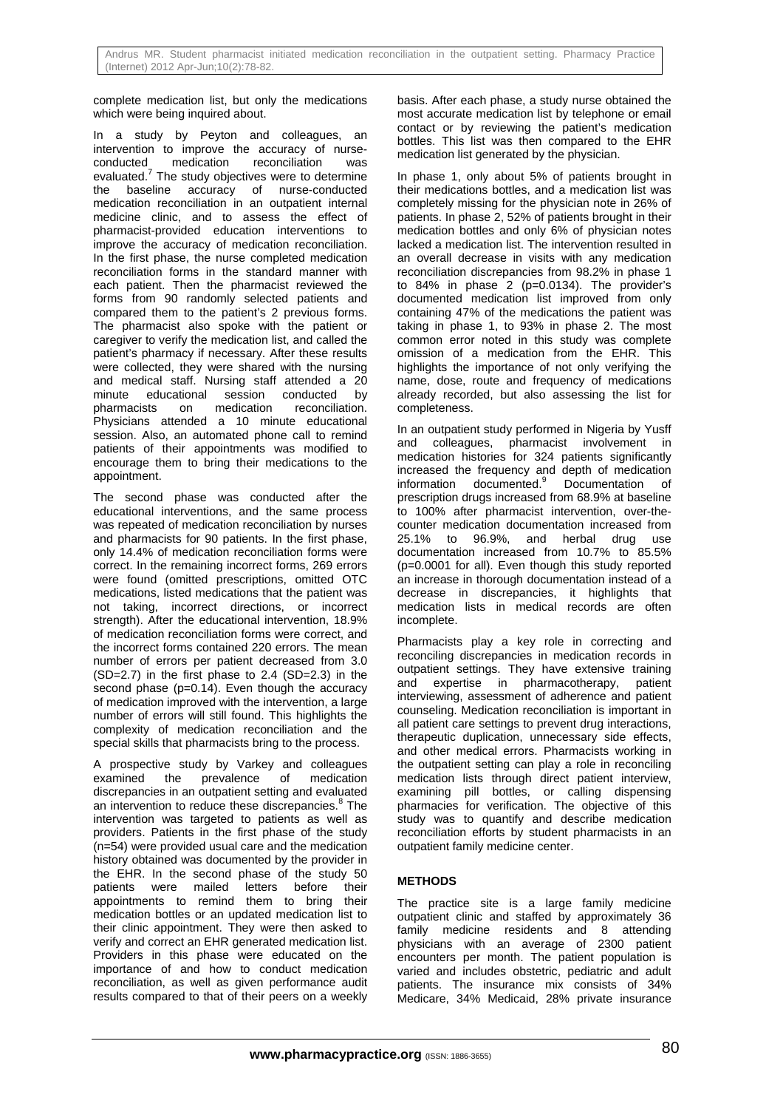complete medication list, but only the medications which were being inquired about.

In a study by Peyton and colleagues, an intervention to improve the accuracy of nurseconducted medication reconciliation was evaluated.<sup>7</sup> The study objectives were to determine the baseline accuracy of nurse-conducted medication reconciliation in an outpatient internal medicine clinic, and to assess the effect of pharmacist-provided education interventions to improve the accuracy of medication reconciliation. In the first phase, the nurse completed medication reconciliation forms in the standard manner with each patient. Then the pharmacist reviewed the forms from 90 randomly selected patients and compared them to the patient's 2 previous forms. The pharmacist also spoke with the patient or caregiver to verify the medication list, and called the patient's pharmacy if necessary. After these results were collected, they were shared with the nursing and medical staff. Nursing staff attended a 20 minute educational session conducted by<br>
pharmacists on medication reconciliation. pharmacists on medication reconciliation. Physicians attended a 10 minute educational session. Also, an automated phone call to remind patients of their appointments was modified to encourage them to bring their medications to the appointment.

The second phase was conducted after the educational interventions, and the same process was repeated of medication reconciliation by nurses and pharmacists for 90 patients. In the first phase, only 14.4% of medication reconciliation forms were correct. In the remaining incorrect forms, 269 errors were found (omitted prescriptions, omitted OTC medications, listed medications that the patient was not taking, incorrect directions, or incorrect strength). After the educational intervention, 18.9% of medication reconciliation forms were correct, and the incorrect forms contained 220 errors. The mean number of errors per patient decreased from 3.0 (SD=2.7) in the first phase to 2.4 (SD=2.3) in the second phase (p=0.14). Even though the accuracy of medication improved with the intervention, a large number of errors will still found. This highlights the complexity of medication reconciliation and the special skills that pharmacists bring to the process.

A prospective study by Varkey and colleagues examined the prevalence of medication discrepancies in an outpatient setting and evaluated an intervention to reduce these discrepancies.<sup>8</sup> The intervention was targeted to patients as well as providers. Patients in the first phase of the study (n=54) were provided usual care and the medication history obtained was documented by the provider in the EHR. In the second phase of the study 50 patients were mailed letters before their appointments to remind them to bring their medication bottles or an updated medication list to their clinic appointment. They were then asked to verify and correct an EHR generated medication list. Providers in this phase were educated on the importance of and how to conduct medication reconciliation, as well as given performance audit results compared to that of their peers on a weekly basis. After each phase, a study nurse obtained the most accurate medication list by telephone or email contact or by reviewing the patient's medication bottles. This list was then compared to the EHR medication list generated by the physician.

In phase 1, only about 5% of patients brought in their medications bottles, and a medication list was completely missing for the physician note in 26% of patients. In phase 2, 52% of patients brought in their medication bottles and only 6% of physician notes lacked a medication list. The intervention resulted in an overall decrease in visits with any medication reconciliation discrepancies from 98.2% in phase 1 to 84% in phase 2 (p=0.0134). The provider's documented medication list improved from only containing 47% of the medications the patient was taking in phase 1, to 93% in phase 2. The most common error noted in this study was complete omission of a medication from the EHR. This highlights the importance of not only verifying the name, dose, route and frequency of medications already recorded, but also assessing the list for completeness.

In an outpatient study performed in Nigeria by Yusff and colleagues, pharmacist involvement in medication histories for 324 patients significantly increased the frequency and depth of medication information documented.<sup>9</sup> Documentation of prescription drugs increased from 68.9% at baseline to 100% after pharmacist intervention, over-thecounter medication documentation increased from 25.1% to 96.9%, and herbal drug use documentation increased from 10.7% to 85.5% (p=0.0001 for all). Even though this study reported an increase in thorough documentation instead of a decrease in discrepancies, it highlights that medication lists in medical records are often incomplete.

Pharmacists play a key role in correcting and reconciling discrepancies in medication records in outpatient settings. They have extensive training<br>and expertise in pharmacotherapy, patient and expertise in pharmacotherapy, interviewing, assessment of adherence and patient counseling. Medication reconciliation is important in all patient care settings to prevent drug interactions, therapeutic duplication, unnecessary side effects, and other medical errors. Pharmacists working in the outpatient setting can play a role in reconciling medication lists through direct patient interview, examining pill bottles, or calling dispensing pharmacies for verification. The objective of this study was to quantify and describe medication reconciliation efforts by student pharmacists in an outpatient family medicine center.

# **METHODS**

The practice site is a large family medicine outpatient clinic and staffed by approximately 36 family medicine residents and 8 attending physicians with an average of 2300 patient encounters per month. The patient population is varied and includes obstetric, pediatric and adult patients. The insurance mix consists of 34% Medicare, 34% Medicaid, 28% private insurance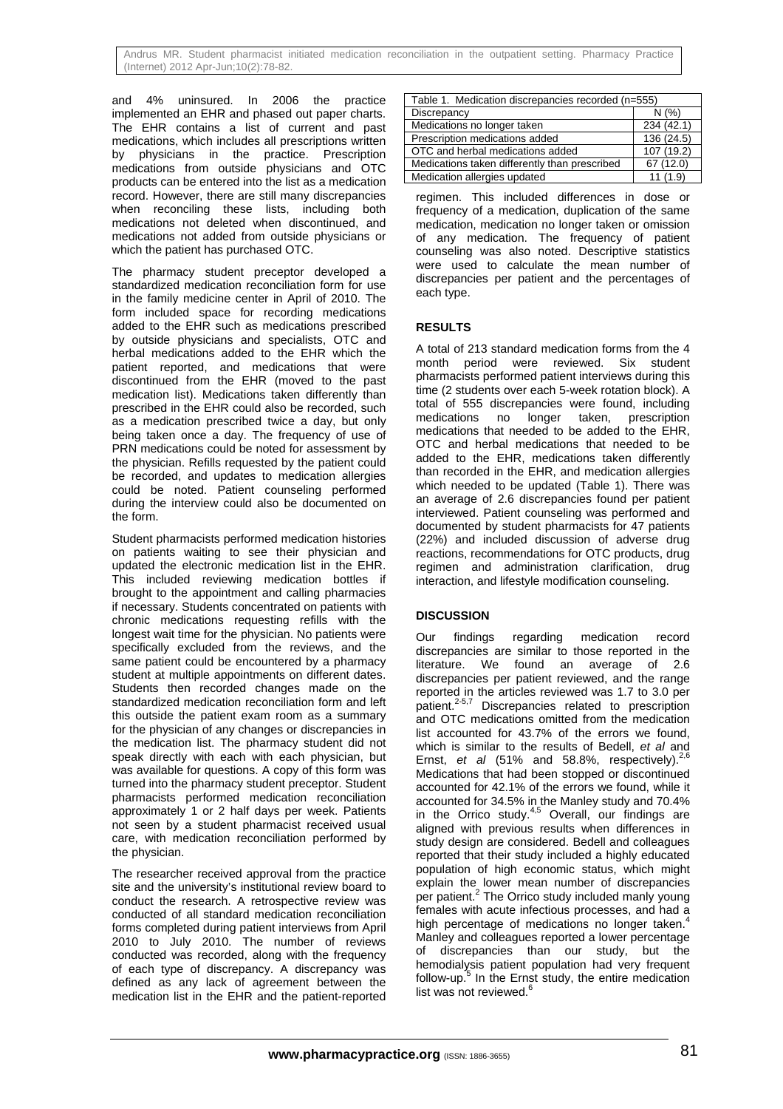Andrus MR. Student pharmacist initiated medication reconciliation in the outpatient setting. Pharmacy Practice (Internet) 2012 Apr-Jun;10(2):78-82.

and 4% uninsured. In 2006 the practice implemented an EHR and phased out paper charts. The EHR contains a list of current and past medications, which includes all prescriptions written by physicians in the practice. Prescription medications from outside physicians and OTC products can be entered into the list as a medication record. However, there are still many discrepancies when reconciling these lists, including both medications not deleted when discontinued, and medications not added from outside physicians or which the patient has purchased OTC.

The pharmacy student preceptor developed a standardized medication reconciliation form for use in the family medicine center in April of 2010. The form included space for recording medications added to the EHR such as medications prescribed by outside physicians and specialists, OTC and herbal medications added to the EHR which the patient reported, and medications that were discontinued from the EHR (moved to the past medication list). Medications taken differently than prescribed in the EHR could also be recorded, such as a medication prescribed twice a day, but only being taken once a day. The frequency of use of PRN medications could be noted for assessment by the physician. Refills requested by the patient could be recorded, and updates to medication allergies could be noted. Patient counseling performed during the interview could also be documented on the form.

Student pharmacists performed medication histories on patients waiting to see their physician and updated the electronic medication list in the EHR. This included reviewing medication bottles if brought to the appointment and calling pharmacies if necessary. Students concentrated on patients with chronic medications requesting refills with the longest wait time for the physician. No patients were specifically excluded from the reviews, and the same patient could be encountered by a pharmacy student at multiple appointments on different dates. Students then recorded changes made on the standardized medication reconciliation form and left this outside the patient exam room as a summary for the physician of any changes or discrepancies in the medication list. The pharmacy student did not speak directly with each with each physician, but was available for questions. A copy of this form was turned into the pharmacy student preceptor. Student pharmacists performed medication reconciliation approximately 1 or 2 half days per week. Patients not seen by a student pharmacist received usual care, with medication reconciliation performed by the physician.

The researcher received approval from the practice site and the university's institutional review board to conduct the research. A retrospective review was conducted of all standard medication reconciliation forms completed during patient interviews from April 2010 to July 2010. The number of reviews conducted was recorded, along with the frequency of each type of discrepancy. A discrepancy was defined as any lack of agreement between the medication list in the EHR and the patient-reported

| Table 1. Medication discrepancies recorded (n=555) |            |
|----------------------------------------------------|------------|
| Discrepancy                                        | N(%)       |
| Medications no longer taken                        | 234 (42.1) |
| Prescription medications added                     | 136 (24.5) |
| OTC and herbal medications added                   | 107 (19.2) |
| Medications taken differently than prescribed      | 67 (12.0)  |
| Medication allergies updated                       | 11(1.9)    |
|                                                    |            |

regimen. This included differences in dose or frequency of a medication, duplication of the same medication, medication no longer taken or omission of any medication. The frequency of patient counseling was also noted. Descriptive statistics were used to calculate the mean number of discrepancies per patient and the percentages of each type.

## **RESULTS**

A total of 213 standard medication forms from the 4 month period were reviewed. Six student pharmacists performed patient interviews during this time (2 students over each 5-week rotation block). A total of 555 discrepancies were found, including medications no longer taken, prescription medications that needed to be added to the EHR, OTC and herbal medications that needed to be added to the EHR, medications taken differently than recorded in the EHR, and medication allergies which needed to be updated (Table 1). There was an average of 2.6 discrepancies found per patient interviewed. Patient counseling was performed and documented by student pharmacists for 47 patients (22%) and included discussion of adverse drug reactions, recommendations for OTC products, drug regimen and administration clarification, drug interaction, and lifestyle modification counseling.

#### **DISCUSSION**

Our findings regarding medication record discrepancies are similar to those reported in the literature. We found an average of 2.6 discrepancies per patient reviewed, and the range reported in the articles reviewed was 1.7 to 3.0 per  $p^2$  patient.<sup>2-5,7</sup> Discrepancies related to prescription and OTC medications omitted from the medication list accounted for 43.7% of the errors we found, which is similar to the results of Bedell, *et al* and Ernst, et al (51% and 58.8%, respectively).<sup>2,6</sup> Medications that had been stopped or discontinued accounted for 42.1% of the errors we found, while it accounted for 34.5% in the Manley study and 70.4% in the Orrico study.<sup>4,5</sup> Overall, our findings are aligned with previous results when differences in study design are considered. Bedell and colleagues reported that their study included a highly educated population of high economic status, which might explain the lower mean number of discrepancies per patient.<sup>2</sup> The Orrico study included manly young females with acute infectious processes, and had a high percentage of medications no longer taken.<sup>4</sup> Manley and colleagues reported a lower percentage of discrepancies than our study, but the hemodialysis patient population had very frequent follow-up.<sup>5</sup> In the Ernst study, the entire medication list was not reviewed.<sup>6</sup>